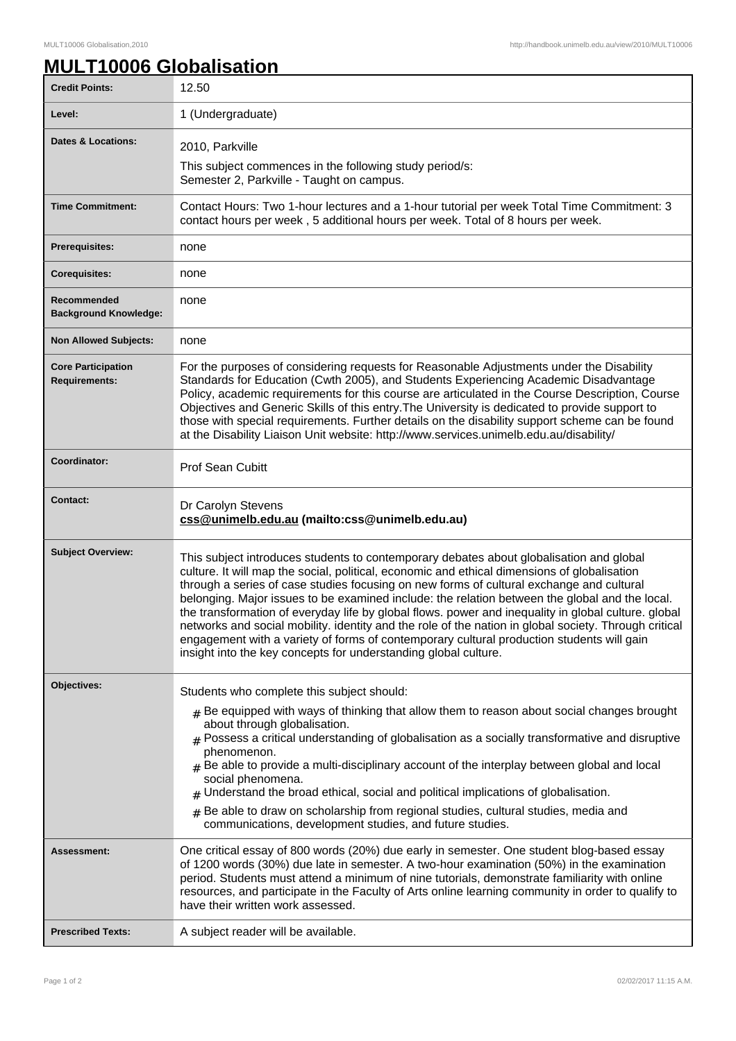## **MULT10006 Globalisation**

| <b>Credit Points:</b>                             | 12.50                                                                                                                                                                                                                                                                                                                                                                                                                                                                                                                                                                                                                                                                                                                                                                 |
|---------------------------------------------------|-----------------------------------------------------------------------------------------------------------------------------------------------------------------------------------------------------------------------------------------------------------------------------------------------------------------------------------------------------------------------------------------------------------------------------------------------------------------------------------------------------------------------------------------------------------------------------------------------------------------------------------------------------------------------------------------------------------------------------------------------------------------------|
| Level:                                            | 1 (Undergraduate)                                                                                                                                                                                                                                                                                                                                                                                                                                                                                                                                                                                                                                                                                                                                                     |
| <b>Dates &amp; Locations:</b>                     | 2010, Parkville                                                                                                                                                                                                                                                                                                                                                                                                                                                                                                                                                                                                                                                                                                                                                       |
|                                                   | This subject commences in the following study period/s:<br>Semester 2, Parkville - Taught on campus.                                                                                                                                                                                                                                                                                                                                                                                                                                                                                                                                                                                                                                                                  |
| <b>Time Commitment:</b>                           | Contact Hours: Two 1-hour lectures and a 1-hour tutorial per week Total Time Commitment: 3<br>contact hours per week, 5 additional hours per week. Total of 8 hours per week.                                                                                                                                                                                                                                                                                                                                                                                                                                                                                                                                                                                         |
| <b>Prerequisites:</b>                             | none                                                                                                                                                                                                                                                                                                                                                                                                                                                                                                                                                                                                                                                                                                                                                                  |
| <b>Corequisites:</b>                              | none                                                                                                                                                                                                                                                                                                                                                                                                                                                                                                                                                                                                                                                                                                                                                                  |
| Recommended<br><b>Background Knowledge:</b>       | none                                                                                                                                                                                                                                                                                                                                                                                                                                                                                                                                                                                                                                                                                                                                                                  |
| <b>Non Allowed Subjects:</b>                      | none                                                                                                                                                                                                                                                                                                                                                                                                                                                                                                                                                                                                                                                                                                                                                                  |
| <b>Core Participation</b><br><b>Requirements:</b> | For the purposes of considering requests for Reasonable Adjustments under the Disability<br>Standards for Education (Cwth 2005), and Students Experiencing Academic Disadvantage<br>Policy, academic requirements for this course are articulated in the Course Description, Course<br>Objectives and Generic Skills of this entry. The University is dedicated to provide support to<br>those with special requirements. Further details on the disability support scheme can be found<br>at the Disability Liaison Unit website: http://www.services.unimelb.edu.au/disability/                                                                                                                                                                                     |
| Coordinator:                                      | <b>Prof Sean Cubitt</b>                                                                                                                                                                                                                                                                                                                                                                                                                                                                                                                                                                                                                                                                                                                                               |
| <b>Contact:</b>                                   | Dr Carolyn Stevens<br>css@unimelb.edu.au (mailto:css@unimelb.edu.au)                                                                                                                                                                                                                                                                                                                                                                                                                                                                                                                                                                                                                                                                                                  |
| <b>Subject Overview:</b>                          | This subject introduces students to contemporary debates about globalisation and global<br>culture. It will map the social, political, economic and ethical dimensions of globalisation<br>through a series of case studies focusing on new forms of cultural exchange and cultural<br>belonging. Major issues to be examined include: the relation between the global and the local.<br>the transformation of everyday life by global flows. power and inequality in global culture. global<br>networks and social mobility. identity and the role of the nation in global society. Through critical<br>engagement with a variety of forms of contemporary cultural production students will gain<br>insight into the key concepts for understanding global culture. |
| Objectives:                                       | Students who complete this subject should:<br>$#$ Be equipped with ways of thinking that allow them to reason about social changes brought<br>about through globalisation.<br>Possess a critical understanding of globalisation as a socially transformative and disruptive<br>#<br>phenomenon.<br>$#$ Be able to provide a multi-disciplinary account of the interplay between global and local<br>social phenomena.<br>Understand the broad ethical, social and political implications of globalisation.<br>#<br>Be able to draw on scholarship from regional studies, cultural studies, media and<br>communications, development studies, and future studies.                                                                                                      |
| Assessment:                                       | One critical essay of 800 words (20%) due early in semester. One student blog-based essay<br>of 1200 words (30%) due late in semester. A two-hour examination (50%) in the examination<br>period. Students must attend a minimum of nine tutorials, demonstrate familiarity with online<br>resources, and participate in the Faculty of Arts online learning community in order to qualify to<br>have their written work assessed.                                                                                                                                                                                                                                                                                                                                    |
| <b>Prescribed Texts:</b>                          | A subject reader will be available.                                                                                                                                                                                                                                                                                                                                                                                                                                                                                                                                                                                                                                                                                                                                   |